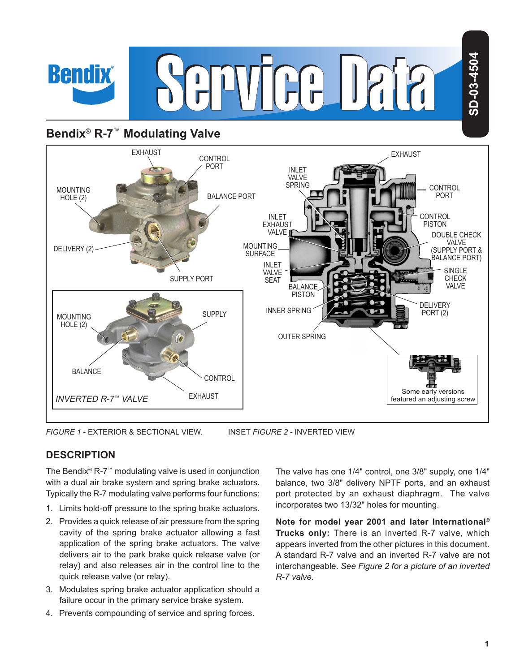# **Bendix® R-7™ Modulating Valve**

**Bendix** 



*FIGURE 1* - EXTERIOR & SECTIONAL VIEW. INSET *FIGURE 2 -* INVERTED VIEW

## **DESCRIPTION**

The Bendix® R‑7™ modulating valve is used in conjunction with a dual air brake system and spring brake actuators. Typically the R‑7 modulating valve performs four functions:

- 1. Limits hold‑off pressure to the spring brake actuators.
- 2. Provides a quick release of air pressure from the spring cavity of the spring brake actuator allowing a fast application of the spring brake actuators. The valve delivers air to the park brake quick release valve (or relay) and also releases air in the control line to the quick release valve (or relay).
- 3. Modulates spring brake actuator application should a failure occur in the primary service brake system.
- 4. Prevents compounding of service and spring forces.

The valve has one 1/4" control, one 3/8" supply, one 1/4" balance, two 3/8" delivery NPTF ports, and an exhaust port protected by an exhaust diaphragm. The valve incorporates two 13/32" holes for mounting.

**Note for model year 2001 and later International® Trucks only:** There is an inverted R-7 valve, which appears inverted from the other pictures in this document. A standard R-7 valve and an inverted R-7 valve are not interchangeable. *See Figure 2 for a picture of an inverted R-7 valve.*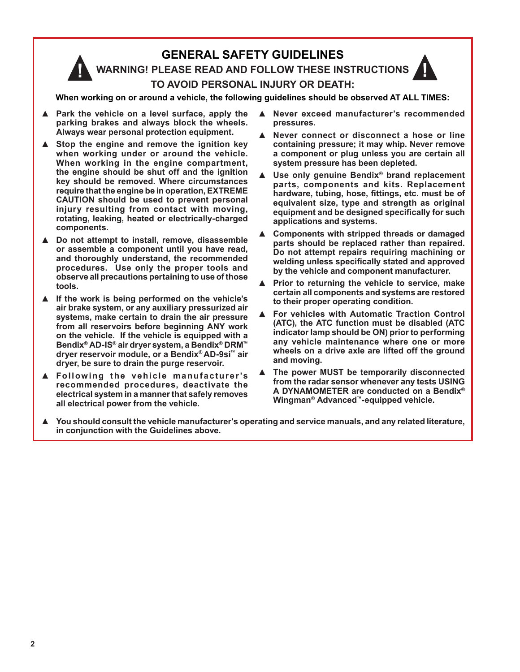## **GENERAL SAFETY GUIDELINES**

**WARNING! PLEASE READ AND FOLLOW THESE INSTRUCTIONS TO AVOID PERSONAL INJURY OR DEATH:**

**When working on or around a vehicle, the following guidelines should be observed AT ALL TIMES:**

- **▲ Park the vehicle on a level surface, apply the parking brakes and always block the wheels. Always wear personal protection equipment.**
- **▲ Stop the engine and remove the ignition key when working under or around the vehicle. When working in the engine compartment, the engine should be shut off and the ignition key should be removed. Where circumstances require that the engine be in operation, EXTREME CAUTION should be used to prevent personal injury resulting from contact with moving, rotating, leaking, heated or electrically-charged components.**
- **▲ Do not attempt to install, remove, disassemble or assemble a component until you have read, and thoroughly understand, the recommended procedures. Use only the proper tools and observe all precautions pertaining to use of those tools.**
- **▲ If the work is being performed on the vehicle's air brake system, or any auxiliary pressurized air systems, make certain to drain the air pressure from all reservoirs before beginning ANY work on the vehicle. If the vehicle is equipped with a Bendix® AD-IS® air dryer system, a Bendix® DRM™ dryer reservoir module, or a Bendix® AD-9si™ air dryer, be sure to drain the purge reservoir.**
- **▲ Following the vehicle manufacturer 's recommended procedures, deactivate the electrical system in a manner that safely removes all electrical power from the vehicle.**
- **▲ Never exceed manufacturer's recommended pressures.**
- **▲ Never connect or disconnect a hose or line containing pressure; it may whip. Never remove a component or plug unless you are certain all system pressure has been depleted.**
- **▲ Use only genuine Bendix® brand replacement parts, components and kits. Replacement**  hardware, tubing, hose, fittings, etc. must be of **equivalent size, type and strength as original**  equipment and be designed specifically for such **applications and systems.**
- **▲ Components with stripped threads or damaged parts should be replaced rather than repaired. Do not attempt repairs requiring machining or**  welding unless specifically stated and approved **by the vehicle and component manufacturer.**
- **▲ Prior to returning the vehicle to service, make certain all components and systems are restored to their proper operating condition.**
- **▲ For vehicles with Automatic Traction Control (ATC), the ATC function must be disabled (ATC indicator lamp should be ON) prior to performing any vehicle maintenance where one or more wheels on a drive axle are lifted off the ground and moving.**
- **▲ The power MUST be temporarily disconnected from the radar sensor whenever any tests USING A DYNAMOMETER are conducted on a Bendix® Wingman® Advanced™-equipped vehicle.**
- **▲ You should consult the vehicle manufacturer's operating and service manuals, and any related literature, in conjunction with the Guidelines above.**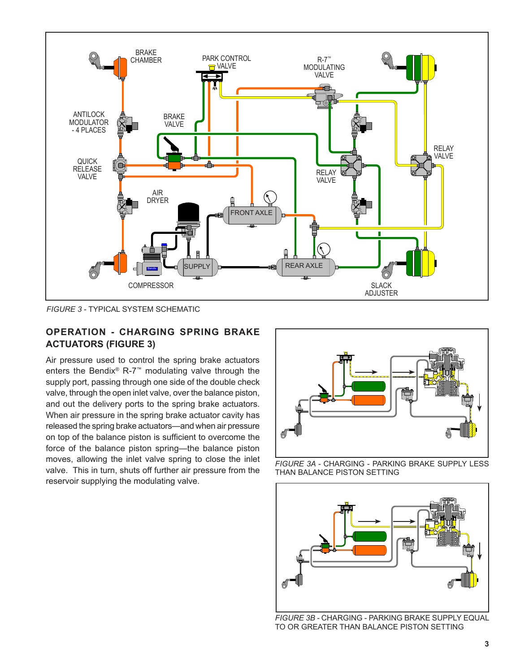

*FIGURE 3 -* TYPICAL SYSTEM SCHEMATIC

## **OPERATION - CHARGING SPRING BRAKE ACTUATORS (FIGURE 3)**

Air pressure used to control the spring brake actuators enters the Bendix® R-7™ modulating valve through the supply port, passing through one side of the double check valve, through the open inlet valve, over the balance piston, and out the delivery ports to the spring brake actuators. When air pressure in the spring brake actuator cavity has released the spring brake actuators—and when air pressure on top of the balance piston is sufficient to overcome the force of the balance piston spring—the balance piston moves, allowing the inlet valve spring to close the inlet valve. This in turn, shuts off further air pressure from the reservoir supplying the modulating valve.



*FIGURE 3A -* CHARGING - PARKING BRAKE SUPPLY LESS THAN BALANCE PISTON SETTING



*FIGURE 3B -* CHARGING - PARKING BRAKE SUPPLY EQUAL TO OR GREATER THAN BALANCE PISTON SETTING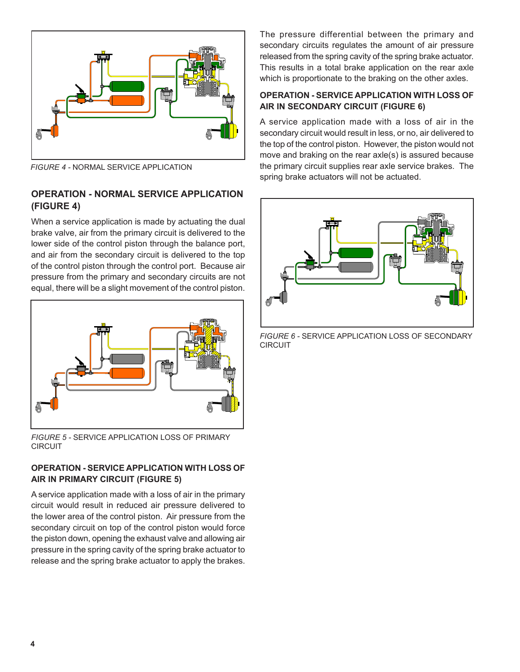

*FIGURE 4 -* NORMAL SERVICE APPLICATION

## **OPERATION - NORMAL SERVICE APPLICATION (FIGURE 4)**

When a service application is made by actuating the dual brake valve, air from the primary circuit is delivered to the lower side of the control piston through the balance port, and air from the secondary circuit is delivered to the top of the control piston through the control port. Because air pressure from the primary and secondary circuits are not equal, there will be a slight movement of the control piston.



*FIGURE 5 -* SERVICE APPLICATION LOSS OF PRIMARY CIRCUIT

## **OPERATION - SERVICE APPLICATION WITH LOSS OF AIR IN PRIMARY CIRCUIT (FIGURE 5)**

A service application made with a loss of air in the primary circuit would result in reduced air pressure delivered to the lower area of the control piston. Air pressure from the secondary circuit on top of the control piston would force the piston down, opening the exhaust valve and allowing air pressure in the spring cavity of the spring brake actuator to release and the spring brake actuator to apply the brakes.

The pressure differential between the primary and secondary circuits regulates the amount of air pressure released from the spring cavity of the spring brake actuator. This results in a total brake application on the rear axle which is proportionate to the braking on the other axles.

## **OPERATION - SERVICE APPLICATION WITH LOSS OF AIR IN SECONDARY CIRCUIT (FIGURE 6)**

A service application made with a loss of air in the secondary circuit would result in less, or no, air delivered to the top of the control piston. However, the piston would not move and braking on the rear axle(s) is assured because the primary circuit supplies rear axle service brakes. The spring brake actuators will not be actuated.



*FIGURE 6 -* SERVICE APPLICATION LOSS OF SECONDARY CIRCUIT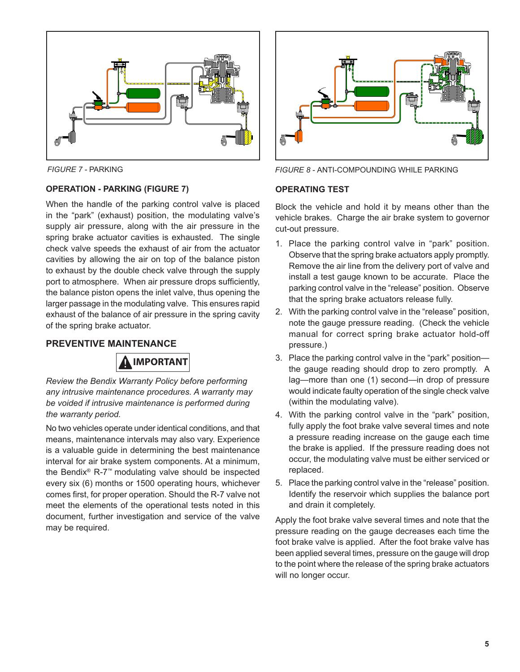

#### **OPERATION - PARKING (FIGURE 7)**

When the handle of the parking control valve is placed in the "park" (exhaust) position, the modulating valve's supply air pressure, along with the air pressure in the spring brake actuator cavities is exhausted. The single check valve speeds the exhaust of air from the actuator cavities by allowing the air on top of the balance piston to exhaust by the double check valve through the supply port to atmosphere. When air pressure drops sufficiently, the balance piston opens the inlet valve, thus opening the larger passage in the modulating valve. This ensures rapid exhaust of the balance of air pressure in the spring cavity of the spring brake actuator.

#### **PREVENTIVE MAINTENANCE**

# **IMPORTANT**

*Review the Bendix Warranty Policy before performing any intrusive maintenance procedures. A warranty may be voided if intrusive maintenance is performed during the warranty period.*

No two vehicles operate under identical conditions, and that means, maintenance intervals may also vary. Experience is a valuable guide in determining the best maintenance interval for air brake system components. At a minimum, the Bendix® R-7™ modulating valve should be inspected every six (6) months or 1500 operating hours, whichever comes first, for proper operation. Should the R-7 valve not meet the elements of the operational tests noted in this document, further investigation and service of the valve may be required.



*FIGURE 7 -* PARKING *FIGURE 8 -* ANTI-COMPOUNDING WHILE PARKING

#### **OPERATING TEST**

Block the vehicle and hold it by means other than the vehicle brakes. Charge the air brake system to governor cut-out pressure.

- 1. Place the parking control valve in "park" position. Observe that the spring brake actuators apply promptly. Remove the air line from the delivery port of valve and install a test gauge known to be accurate. Place the parking control valve in the "release" position. Observe that the spring brake actuators release fully.
- 2. With the parking control valve in the "release" position, note the gauge pressure reading. (Check the vehicle manual for correct spring brake actuator hold-off pressure.)
- 3. Place the parking control valve in the "park" position the gauge reading should drop to zero promptly. A lag—more than one (1) second—in drop of pressure would indicate faulty operation of the single check valve (within the modulating valve).
- 4. With the parking control valve in the "park" position, fully apply the foot brake valve several times and note a pressure reading increase on the gauge each time the brake is applied. If the pressure reading does not occur, the modulating valve must be either serviced or replaced.
- 5. Place the parking control valve in the "release" position. Identify the reservoir which supplies the balance port and drain it completely.

Apply the foot brake valve several times and note that the pressure reading on the gauge decreases each time the foot brake valve is applied. After the foot brake valve has been applied several times, pressure on the gauge will drop to the point where the release of the spring brake actuators will no longer occur.